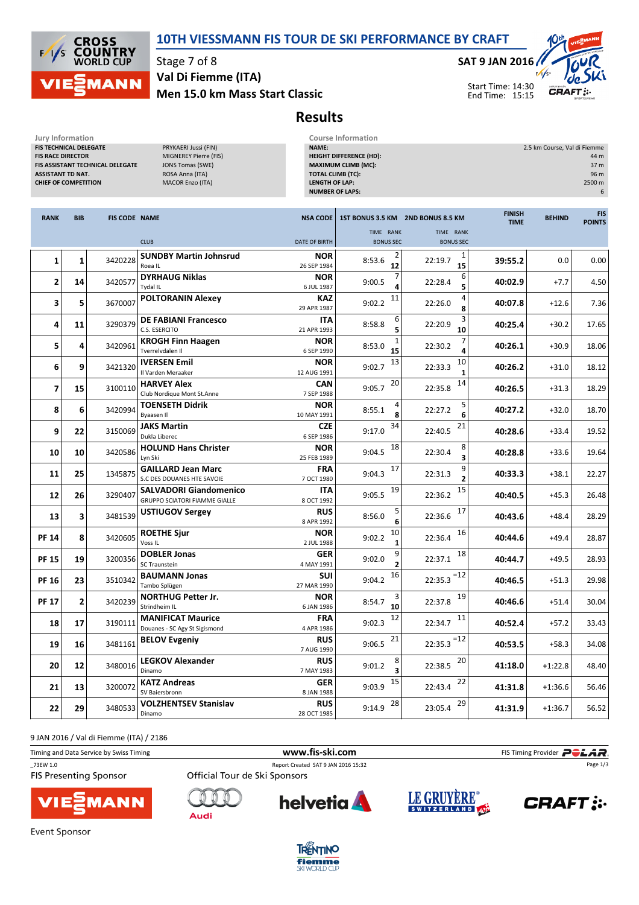



Stage 7 of 8

Men 15.0 km Mass Start Classic Val Di Fiemme (ITA)

#### SAT 9 JAN 2016

Start Time: 14:30 End Time: 15:15



Results

| Jury Information                                                                                              |              |                                  |                                                                                                                        |                           | <b>Course Information</b>                                                                                                                            |                                   |                              |                                                                     |                             |  |
|---------------------------------------------------------------------------------------------------------------|--------------|----------------------------------|------------------------------------------------------------------------------------------------------------------------|---------------------------|------------------------------------------------------------------------------------------------------------------------------------------------------|-----------------------------------|------------------------------|---------------------------------------------------------------------|-----------------------------|--|
| FIS TECHNICAL DELEGATE<br><b>FIS RACE DIRECTOR</b><br><b>ASSISTANT TD NAT.</b><br><b>CHIEF OF COMPETITION</b> |              | FIS ASSISTANT TECHNICAL DELEGATE | PRYKAERI Jussi (FIN)<br>MIGNEREY Pierre (FIS)<br><b>JONS Tomas (SWE)</b><br>ROSA Anna (ITA)<br><b>MACOR Enzo (ITA)</b> |                           | NAME:<br><b>HEIGHT DIFFERENCE (HD):</b><br><b>MAXIMUM CLIMB (MC):</b><br><b>TOTAL CLIMB (TC):</b><br><b>LENGTH OF LAP:</b><br><b>NUMBER OF LAPS:</b> |                                   |                              | 2.5 km Course, Val di Fiemme<br>44 m<br>37 m<br>96 m<br>2500 m<br>6 |                             |  |
| <b>RANK</b>                                                                                                   | <b>BIB</b>   | <b>FIS CODE NAME</b>             |                                                                                                                        | <b>NSA CODE</b>           |                                                                                                                                                      | 1ST BONUS 3.5 KM 2ND BONUS 8.5 KM | <b>FINISH</b><br><b>TIME</b> | <b>BEHIND</b>                                                       | <b>FIS</b><br><b>POINTS</b> |  |
|                                                                                                               |              |                                  | <b>CLUB</b>                                                                                                            | <b>DATE OF BIRTH</b>      | TIME RANK<br><b>BONUS SEC</b>                                                                                                                        | TIME RANK<br><b>BONUS SEC</b>     |                              |                                                                     |                             |  |
| 1                                                                                                             | 1            | 3420228                          | <b>SUNDBY Martin Johnsrud</b><br>Roea IL                                                                               | <b>NOR</b><br>26 SEP 1984 | 8:53.6<br>12                                                                                                                                         | 1<br>22:19.7<br>15                | 39:55.2                      | 0.0                                                                 | 0.00                        |  |
| 2                                                                                                             | 14           | 3420577                          | <b>DYRHAUG Niklas</b><br>Tydal IL                                                                                      | <b>NOR</b><br>6 JUL 1987  | 9:00.5<br>4                                                                                                                                          | 6<br>22:28.4<br>5                 | 40:02.9                      | $+7.7$                                                              | 4.50                        |  |
| 3                                                                                                             | 5            | 3670007                          | <b>POLTORANIN Alexey</b>                                                                                               | <b>KAZ</b><br>29 APR 1987 | 11<br>9:02.2                                                                                                                                         | 4<br>22:26.0<br>8                 | 40:07.8                      | $+12.6$                                                             | 7.36                        |  |
| 4                                                                                                             | 11           | 3290379                          | <b>DE FABIANI Francesco</b><br>C.S. ESERCITO                                                                           | ITA<br>21 APR 1993        | 6<br>8:58.8                                                                                                                                          | 3<br>22:20.9<br>10                | 40:25.4                      | $+30.2$                                                             | 17.65                       |  |
| 5                                                                                                             | 4            | 3420961                          | <b>KROGH Finn Haagen</b><br>Tverrelvdalen II                                                                           | <b>NOR</b><br>6 SEP 1990  | 1<br>8:53.0<br>15                                                                                                                                    | 7<br>22:30.2<br>4                 | 40:26.1                      | $+30.9$                                                             | 18.06                       |  |
| 6                                                                                                             | 9            | 3421320                          | <b>IVERSEN Emil</b><br>Il Varden Meraaker                                                                              | <b>NOR</b><br>12 AUG 1991 | 13<br>9:02.7                                                                                                                                         | 10<br>22:33.3<br>$\mathbf{1}$     | 40:26.2                      | $+31.0$                                                             | 18.12                       |  |
| 7                                                                                                             | 15           | 3100110                          | <b>HARVEY Alex</b><br>Club Nordique Mont St.Anne                                                                       | <b>CAN</b><br>7 SEP 1988  | 20<br>9:05.7                                                                                                                                         | 14<br>22:35.8                     | 40:26.5                      | $+31.3$                                                             | 18.29                       |  |
| 8                                                                                                             | 6            | 3420994                          | <b>TOENSETH Didrik</b><br>Byaasen II                                                                                   | NOR<br>10 MAY 1991        | 8:55.1<br>8                                                                                                                                          | 5<br>22:27.2<br>6                 | 40:27.2                      | $+32.0$                                                             | 18.70                       |  |
| 9                                                                                                             | 22           | 3150069                          | <b>JAKS Martin</b><br>Dukla Liberec                                                                                    | <b>CZE</b><br>6 SEP 1986  | 34<br>9:17.0                                                                                                                                         | 21<br>22:40.5                     | 40:28.6                      | $+33.4$                                                             | 19.52                       |  |
| 10                                                                                                            | 10           | 3420586                          | <b>HOLUND Hans Christer</b><br>Lyn Ski                                                                                 | NOR<br>25 FEB 1989        | 18<br>9:04.5                                                                                                                                         | 8<br>22:30.4<br>3                 | 40:28.8                      | $+33.6$                                                             | 19.64                       |  |
| 11                                                                                                            | 25           | 1345875                          | <b>GAILLARD Jean Marc</b><br>S.C DES DOUANES HTE SAVOIE                                                                | <b>FRA</b><br>7 OCT 1980  | 17<br>9:04.3                                                                                                                                         | 9<br>22:31.3<br>$\overline{2}$    | 40:33.3                      | $+38.1$                                                             | 22.27                       |  |
| 12                                                                                                            | 26           | 3290407                          | <b>SALVADORI Giandomenico</b><br><b>GRUPPO SCIATORI FIAMME GIALLE</b>                                                  | ITA<br>8 OCT 1992         | 19<br>9:05.5                                                                                                                                         | 15<br>22:36.2                     | 40:40.5                      | $+45.3$                                                             | 26.48                       |  |
| 13                                                                                                            | 3            | 3481539                          | <b>USTIUGOV Sergey</b>                                                                                                 | <b>RUS</b><br>8 APR 1992  | 5<br>8:56.0<br>6                                                                                                                                     | 17<br>22:36.6                     | 40:43.6                      | $+48.4$                                                             | 28.29                       |  |
| <b>PF 14</b>                                                                                                  | 8            | 3420605                          | <b>ROETHE Sjur</b><br>Voss <sub>IL</sub>                                                                               | <b>NOR</b><br>2 JUL 1988  | 10<br>9:02.2                                                                                                                                         | 16<br>22:36.4                     | 40:44.6                      | $+49.4$                                                             | 28.87                       |  |
| <b>PF 15</b>                                                                                                  | 19           | 3200356                          | <b>DOBLER Jonas</b><br><b>SC Traunstein</b>                                                                            | <b>GER</b><br>4 MAY 1991  | 9<br>9:02.0<br>2                                                                                                                                     | 18<br>22:37.1                     | 40:44.7                      | $+49.5$                                                             | 28.93                       |  |
| <b>PF 16</b>                                                                                                  | 23           | 3510342                          | <b>BAUMANN Jonas</b><br>Tambo Splügen                                                                                  | SUI<br>27 MAR 1990        | 16<br>9:04.2                                                                                                                                         | $=12$<br>22:35.3                  | 40:46.5                      | $+51.3$                                                             | 29.98                       |  |
| <b>PF 17</b>                                                                                                  | $\mathbf{2}$ | 3420239                          | <b>NORTHUG Petter Jr.</b><br>Strindheim IL                                                                             | <b>NOR</b><br>6 JAN 1986  | 3<br>8:54.7<br>10                                                                                                                                    | 19<br>22:37.8                     | 40:46.6                      | $+51.4$                                                             | 30.04                       |  |
| 18                                                                                                            | 17           | 3190111                          | <b>MANIFICAT Maurice</b><br>Douanes - SC Agy St Sigismond                                                              | <b>FRA</b><br>4 APR 1986  | 12<br>9:02.3                                                                                                                                         | $22:34.7$ <sup>11</sup>           | 40:52.4                      | $+57.2$                                                             | 33.43                       |  |
| 19                                                                                                            | 16           | 3481161                          | <b>BELOV Evgeniy</b>                                                                                                   | <b>RUS</b><br>7 AUG 1990  | 21<br>9:06.5                                                                                                                                         | $22:35.3$ <sup>=12</sup>          | 40:53.5                      | $+58.3$                                                             | 34.08                       |  |
| 20                                                                                                            | 12           | 3480016                          | <b>LEGKOV Alexander</b><br>Dinamo                                                                                      | <b>RUS</b><br>7 MAY 1983  | 8<br>9:01.2                                                                                                                                          | 20<br>22:38.5                     | 41:18.0                      | $+1:22.8$                                                           | 48.40                       |  |
| 21                                                                                                            | 13           | 3200072                          | <b>KATZ Andreas</b><br>SV Baiersbronn                                                                                  | <b>GER</b><br>8 JAN 1988  | 15<br>9:03.9                                                                                                                                         | 22<br>22:43.4                     | 41:31.8                      | $+1:36.6$                                                           | 56.46                       |  |
| 22                                                                                                            | 29           | 3480533                          | <b>VOLZHENTSEV Stanislav</b><br>Dinamo                                                                                 | <b>RUS</b><br>28 OCT 1985 | 28<br>9:14.9                                                                                                                                         | 29<br>23:05.4                     | 41:31.9                      | $+1:36.7$                                                           | 56.52                       |  |

9 JAN 2016 / Val di Fiemme (ITA) / 2186

| Timing and Data Service by Swiss Timing | www.fis-ski.com                     |                          | FIS Timing Provider <b>POLAR</b> |
|-----------------------------------------|-------------------------------------|--------------------------|----------------------------------|
| 73EW 1.0                                | Report Created SAT 9 JAN 2016 15:32 |                          | Page 1/3                         |
| <b>FIS Presenting Sponsor</b>           | Official Tour de Ski Sponsors       |                          |                                  |
| <b>VIE MANN</b>                         | halvetia A                          | LE GRIJVERE <sup>®</sup> | CDAET ::.                        |



**Audi** 







Event Sponsor

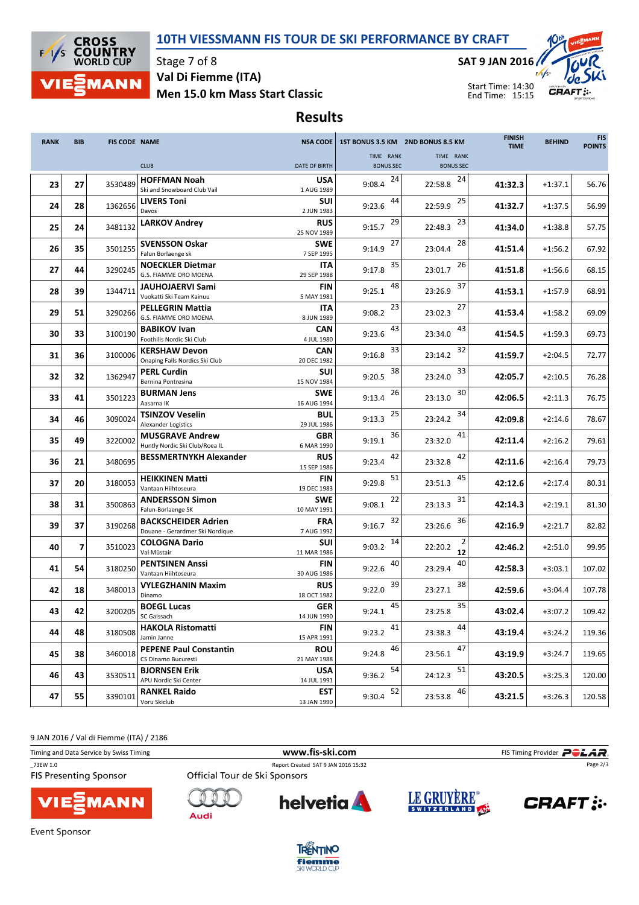### 10TH VIESSMANN FIS TOUR DE SKI PERFORMANCE BY CRAFT



Stage 7 of 8 Men 15.0 km Mass Start Classic Val Di Fiemme (ITA)

SAT 9 JAN 2016



Start Time: 14:30 End Time: 15:15

# Results

| <b>RANK</b> | <b>BIB</b>     | <b>FIS CODE NAME</b> |                                                        | <b>NSA CODE</b>           |                               | 1ST BONUS 3.5 KM 2ND BONUS 8.5 KM | <b>FINISH</b><br><b>TIME</b> | <b>BEHIND</b> | <b>FIS</b><br><b>POINTS</b> |
|-------------|----------------|----------------------|--------------------------------------------------------|---------------------------|-------------------------------|-----------------------------------|------------------------------|---------------|-----------------------------|
|             |                |                      | <b>CLUB</b>                                            | DATE OF BIRTH             | TIME RANK<br><b>BONUS SEC</b> | TIME RANK                         |                              |               |                             |
|             |                |                      |                                                        |                           |                               | <b>BONUS SEC</b>                  |                              |               |                             |
| 23          | 27             | 3530489              | <b>HOFFMAN Noah</b>                                    | <b>USA</b>                | 24<br>9:08.4                  | 24<br>22:58.8                     | 41:32.3                      | $+1:37.1$     | 56.76                       |
|             |                |                      | Ski and Snowboard Club Vail                            | 1 AUG 1989                |                               |                                   |                              |               |                             |
| 24          | 28             | 1362656              | <b>LIVERS Toni</b><br>Davos                            | SUI                       | 44<br>9:23.6                  | 25<br>22:59.9                     | 41:32.7                      | $+1:37.5$     | 56.99                       |
|             |                |                      | <b>LARKOV Andrey</b>                                   | 2 JUN 1983<br><b>RUS</b>  | 29                            | 23                                |                              |               |                             |
| 25          | 24             | 3481132              |                                                        | 25 NOV 1989               | 9:15.7                        | 22:48.3                           | 41:34.0                      | $+1:38.8$     | 57.75                       |
|             |                |                      | <b>SVENSSON Oskar</b>                                  | <b>SWE</b>                | 27                            | 28                                |                              |               |                             |
| 26          | 35             | 3501255              | Falun Borlaenge sk                                     | 7 SEP 1995                | 9:14.9                        | 23:04.4                           | 41:51.4                      | $+1:56.2$     | 67.92                       |
|             |                |                      | <b>NOECKLER Dietmar</b>                                | ITA                       | 35                            | 26                                |                              |               |                             |
| 27          | 44             | 3290245              | G.S. FIAMME ORO MOENA                                  | 29 SEP 1988               | 9:17.8                        | 23:01.7                           | 41:51.8                      | $+1:56.6$     | 68.15                       |
| 28          | 39             | 1344711              | <b>JAUHOJAERVI Sami</b>                                | FIN                       | 48<br>9:25.1                  | 37<br>23:26.9                     | 41:53.1                      | $+1:57.9$     | 68.91                       |
|             |                |                      | Vuokatti Ski Team Kainuu                               | 5 MAY 1981                |                               |                                   |                              |               |                             |
| 29          | 51             | 3290266              | <b>PELLEGRIN Mattia</b>                                | <b>ITA</b>                | 23<br>9:08.2                  | 27<br>23:02.3                     | 41:53.4                      | $+1:58.2$     | 69.09                       |
|             |                |                      | G.S. FIAMME ORO MOENA                                  | 8 JUN 1989                |                               |                                   |                              |               |                             |
| 30          | 33             | 3100190              | <b>BABIKOV Ivan</b>                                    | CAN                       | 43<br>9:23.6                  | 43<br>23:34.0                     | 41:54.5                      | $+1:59.3$     | 69.73                       |
|             |                |                      | Foothills Nordic Ski Club                              | 4 JUL 1980                |                               |                                   |                              |               |                             |
| 31          | 36             | 3100006              | <b>KERSHAW Devon</b><br>Onaping Falls Nordics Ski Club | CAN<br>20 DEC 1982        | 33<br>9:16.8                  | 32<br>23:14.2                     | 41:59.7                      | $+2:04.5$     | 72.77                       |
|             |                |                      | <b>PERL Curdin</b>                                     | SUI                       | 38                            | 33                                |                              |               |                             |
| 32          | 32             | 1362947              | Bernina Pontresina                                     | 15 NOV 1984               | 9:20.5                        | 23:24.0                           | 42:05.7                      | $+2:10.5$     | 76.28                       |
|             |                |                      | <b>BURMAN Jens</b>                                     | <b>SWE</b>                | 26                            | 30                                |                              |               |                             |
| 33          | 41             | 3501223              | Aasarna IK                                             | 16 AUG 1994               | 9:13.4                        | 23:13.0                           | 42:06.5                      | $+2:11.3$     | 76.75                       |
|             |                |                      | TSINZOV Veselin                                        | <b>BUL</b>                | 25                            | 34                                |                              |               |                             |
| 34          | 46             | 3090024              | <b>Alexander Logistics</b>                             | 29 JUL 1986               | 9:13.3                        | 23:24.2                           | 42:09.8                      | $+2:14.6$     | 78.67                       |
| 35          | 49             | 3220002              | <b>MUSGRAVE Andrew</b>                                 | <b>GBR</b>                | 36<br>9:19.1                  | 41<br>23:32.0                     | 42:11.4                      | $+2:16.2$     | 79.61                       |
|             |                |                      | Huntly Nordic Ski Club/Roea IL                         | 6 MAR 1990                |                               |                                   |                              |               |                             |
| 36          | 21             | 3480695              | <b>BESSMERTNYKH Alexander</b>                          | <b>RUS</b>                | 42<br>9:23.4                  | 42<br>23:32.8                     | 42:11.6                      | $+2:16.4$     | 79.73                       |
|             |                |                      |                                                        | 15 SEP 1986               |                               |                                   |                              |               |                             |
| 37          | 20             | 3180053              | <b>HEIKKINEN Matti</b><br>Vantaan Hiihtoseura          | FIN<br>19 DEC 1983        | 51<br>9:29.8                  | 45<br>23:51.3                     | 42:12.6                      | $+2:17.4$     | 80.31                       |
|             |                |                      | <b>ANDERSSON Simon</b>                                 | <b>SWE</b>                | 22                            | 31                                |                              |               |                             |
| 38          | 31             | 3500863              | Falun-Borlaenge SK                                     | 10 MAY 1991               | 9:08.1                        | 23:13.3                           | 42:14.3                      | $+2:19.1$     | 81.30                       |
|             |                |                      | <b>BACKSCHEIDER Adrien</b>                             | <b>FRA</b>                | 32                            | 36                                |                              |               |                             |
| 39          | 37             | 3190268              | Douane - Gerardmer Ski Nordique                        | 7 AUG 1992                | 9:16.7                        | 23:26.6                           | 42:16.9                      | $+2:21.7$     | 82.82                       |
|             | $\overline{7}$ |                      | <b>COLOGNA Dario</b>                                   | SUI                       | 14                            |                                   |                              |               |                             |
| 40          |                | 3510023              | Val Müstair                                            | 11 MAR 1986               | 9:03.2                        | 22:20.2<br>12                     | 42:46.2                      | $+2:51.0$     | 99.95                       |
| 41          | 54             | 3180250              | <b>PENTSINEN Anssi</b>                                 | FIN                       | 40<br>9:22.6                  | 40<br>23:29.4                     | 42:58.3                      | $+3:03.1$     | 107.02                      |
|             |                |                      | Vantaan Hiihtoseura                                    | 30 AUG 1986               |                               |                                   |                              |               |                             |
| 42          | 18             | 3480013              | <b>VYLEGZHANIN Maxim</b>                               | <b>RUS</b>                | 39<br>9:22.0                  | 38<br>23:27.1                     | 42:59.6                      | $+3:04.4$     | 107.78                      |
|             |                |                      | Dinamo                                                 | 18 OCT 1982               |                               |                                   |                              |               |                             |
| 43          | 42             | 3200205              | <b>BOEGL Lucas</b>                                     | <b>GER</b>                | 45<br>9:24.1                  | 35<br>23:25.8                     | 43:02.4                      | $+3:07.2$     | 109.42                      |
|             |                |                      | SC Gaissach                                            | 14 JUN 1990               |                               |                                   |                              |               |                             |
| 44          | 48             | 3180508              | <b>HAKOLA Ristomatti</b><br>Jamin Janne                | <b>FIN</b><br>15 APR 1991 | 41<br>9:23.2                  | 44<br>23:38.3                     | 43:19.4                      | $+3:24.2$     | 119.36                      |
|             |                |                      | <b>PEPENE Paul Constantin</b>                          | <b>ROU</b>                | 46                            | 47                                |                              |               |                             |
| 45          | 38             | 3460018              | CS Dinamo Bucuresti                                    | 21 MAY 1988               | 9:24.8                        | 23:56.1                           | 43:19.9                      | $+3:24.7$     | 119.65                      |
|             |                |                      | <b>BJORNSEN Erik</b>                                   | USA                       | 54                            | 51                                |                              |               |                             |
| 46          | 43             | 3530511              | APU Nordic Ski Center                                  | 14 JUL 1991               | 9:36.2                        | 24:12.3                           | 43:20.5                      | $+3:25.3$     | 120.00                      |
|             |                |                      | <b>RANKEL Raido</b>                                    | <b>EST</b>                | 52                            | 46                                |                              |               |                             |
| 47          | 55             | 3390101              | Voru Skiclub                                           | 13 JAN 1990               | 9:30.4                        | 23:53.8                           | 43:21.5                      | $+3:26.3$     | 120.58                      |

9 JAN 2016 / Val di Fiemme (ITA) / 2186

Timing and Data Service by Swiss Timing **Example 20** and Data Service by Swiss Timing Provider **POLAR** \_73EW 1.0 Report Created SAT 9 JAN 2016 15:32 Page 2/3**FIS Presenting Sponsor** LE GRUYÈRE® **helvetia CRAFT: :. MANN** Audi



**Event Sponsor**